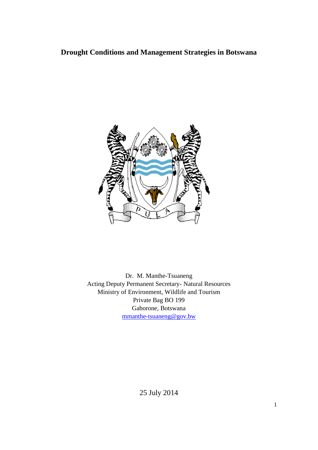# **Drought Conditions and Management Strategies in Botswana**



Dr. M. Manthe-Tsuaneng Acting Deputy Permanent Secretary- Natural Resources Ministry of Environment, Wildlife and Tourism Private Bag BO 199 Gaborone, Botswana [mmanthe-tsuaneng@gov.bw](mailto:mmanthe-tsuaneng@gov.bw)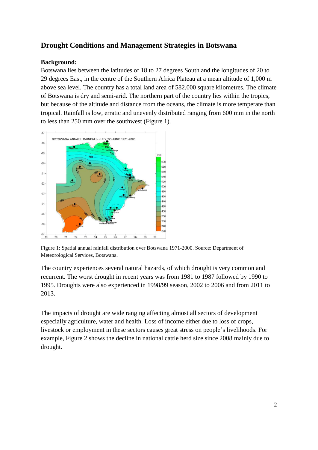## **Drought Conditions and Management Strategies in Botswana**

### **Background:**

Botswana lies between the latitudes of 18 to 27 degrees South and the longitudes of 20 to 29 degrees East, in the centre of the Southern Africa Plateau at a mean altitude of 1,000 m above sea level. The country has a total land area of 582,000 square kilometres. The climate of Botswana is dry and semi-arid. The northern part of the country lies within the tropics, but because of the altitude and distance from the oceans, the climate is more temperate than tropical. Rainfall is low, erratic and unevenly distributed ranging from 600 mm in the north to less than 250 mm over the southwest (Figure 1).



Figure 1: Spatial annual rainfall distribution over Botswana 1971-2000. Source: Department of Meteorological Services, Botswana.

The country experiences several natural hazards, of which drought is very common and recurrent. The worst drought in recent years was from 1981 to 1987 followed by 1990 to 1995. Droughts were also experienced in 1998/99 season, 2002 to 2006 and from 2011 to 2013.

The impacts of drought are wide ranging affecting almost all sectors of development especially agriculture, water and health. Loss of income either due to loss of crops, livestock or employment in these sectors causes great stress on people's livelihoods. For example, Figure 2 shows the decline in national cattle herd size since 2008 mainly due to drought.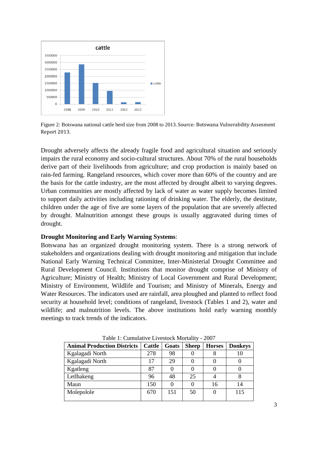

Figure 2: Botswana national cattle herd size from 2008 to 2013. Source: Botswana Vulnerability Assesment Report 2013.

Drought adversely affects the already fragile food and agricultural situation and seriously impairs the rural economy and socio-cultural structures. About 70% of the rural households derive part of their livelihoods from agriculture; and crop production is mainly based on rain-fed farming. Rangeland resources, which cover more than 60% of the country and are the basis for the cattle industry, are the most affected by drought albeit to varying degrees. Urban communities are mostly affected by lack of water as water supply becomes limited to support daily activities including rationing of drinking water. The elderly, the destitute, children under the age of five are some layers of the population that are severely affected by drought. Malnutrition amongst these groups is usually aggravated during times of drought.

#### **Drought Monitoring and Early Warning Systems**:

Botswana has an organized drought monitoring system. There is a strong network of stakeholders and organizations dealing with drought monitoring and mitigation that include National Early Warning Technical Committee, Inter-Ministerial Drought Committee and Rural Development Council. Institutions that monitor drought comprise of Ministry of Agriculture; Ministry of Health; Ministry of Local Government and Rural Development; Ministry of Environment, Wildlife and Tourism; and Ministry of Minerals, Energy and Water Resources. The indicators used are rainfall, area ploughed and planted to reflect food security at household level; conditions of rangeland, livestock (Tables 1 and 2), water and wildlife; and malnutrition levels. The above institutions hold early warning monthly meetings to track trends of the indicators.

| Table 1. Camalatt ve El vestock Informativ<br>$\sim$ $\sim$ $\prime$ |               |       |              |               |                |  |
|----------------------------------------------------------------------|---------------|-------|--------------|---------------|----------------|--|
| <b>Animal Production Districts</b>                                   | <b>Cattle</b> | Goats | <b>Sheep</b> | <b>Horses</b> | <b>Donkeys</b> |  |
| Kgalagadi North                                                      | 278           | 98    |              |               |                |  |
| Kgalagadi North                                                      | 17            | 29    |              |               |                |  |
| Kgatleng                                                             | 87            |       |              |               |                |  |
| Letlhakeng                                                           | 96            | 48    | 25           |               |                |  |
| Maun                                                                 | 150           |       |              | 16            | 14             |  |
| Molepolole                                                           | 670           | 151   | 50           |               | 115            |  |
|                                                                      |               |       |              |               |                |  |

Table 1: Cumulative Livestock Mortality - 2007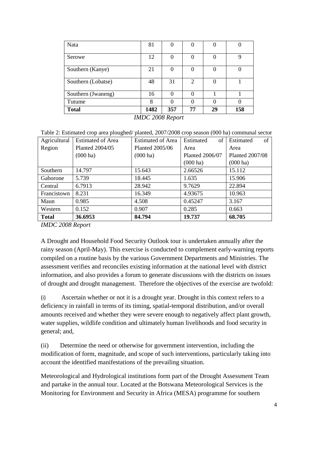| Nata               | 81   |          |    |    |     |
|--------------------|------|----------|----|----|-----|
| Serowe             | 12   |          |    |    | Q   |
| Southern (Kanye)   | 21   | $\Omega$ | 0  | 0  |     |
| Southern (Lobatse) | 48   | 31       | C  |    |     |
| Southern (Jwaneng) | 16   | 0        |    |    |     |
| Tutume             | 8    |          |    |    |     |
| <b>Total</b>       | 1482 | 357      | 77 | 29 | 158 |

*IMDC 2008 Report*

Table 2: Estimated crop area ploughed/ planted, 2007/2008 crop season (000 ha) communal sector

| Agricultural | <b>Estimated of Area</b> | <b>Estimated of Area</b> | of<br>Estimated    | of<br>Estimated        |  |
|--------------|--------------------------|--------------------------|--------------------|------------------------|--|
| Region       | Planted 2004/05          | Planted 2005/06          | Area               | Area                   |  |
|              | $(000 \text{ ha})$       | $(000 \text{ ha})$       | Planted 2006/07    | <b>Planted 2007/08</b> |  |
|              |                          |                          | $(000 \text{ ha})$ | $(000 \text{ ha})$     |  |
| Southern     | 14.797                   | 15.643                   | 2.66526            | 15.112                 |  |
| Gaborone     | 5.739                    | 18.445                   | 1.635              | 15.906                 |  |
| Central      | 6.7913                   | 28.942                   | 9.7629             | 22.894                 |  |
| Francistown  | 8.231                    | 16.349                   | 4.93675            | 10.963                 |  |
| Maun         | 0.985                    | 4.508                    | 0.45247            | 3.167                  |  |
| Western      | 0.152                    | 0.907                    | 0.285              | 0.663                  |  |
| <b>Total</b> | 36.6953                  | 84.794                   | 19.737             | 68.705                 |  |

*IMDC 2008 Report*

A Drought and Household Food Security Outlook tour is undertaken annually after the rainy season (April-May). This exercise is conducted to complement early-warning reports compiled on a routine basis by the various Government Departments and Ministries. The assessment verifies and reconciles existing information at the national level with district information, and also provides a forum to generate discussions with the districts on issues of drought and drought management. Therefore the objectives of the exercise are twofold:

(i) Ascertain whether or not it is a drought year. Drought in this context refers to a deficiency in rainfall in terms of its timing, spatial-temporal distribution, and/or overall amounts received and whether they were severe enough to negatively affect plant growth, water supplies, wildlife condition and ultimately human livelihoods and food security in general; and,

(ii) Determine the need or otherwise for government intervention, including the modification of form, magnitude, and scope of such interventions, particularly taking into account the identified manifestations of the prevailing situation.

Meteorological and Hydrological institutions form part of the Drought Assessment Team and partake in the annual tour. Located at the Botswana Meteorological Services is the Monitoring for Environment and Security in Africa (MESA) programme for southern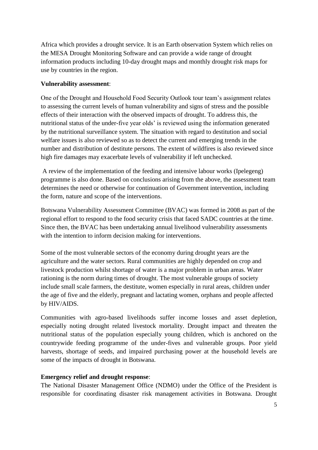Africa which provides a drought service. It is an Earth observation System which relies on the MESA Drought Monitoring Software and can provide a wide range of drought information products including 10-day drought maps and monthly drought risk maps for use by countries in the region.

#### **Vulnerability assessment**:

One of the Drought and Household Food Security Outlook tour team's assignment relates to assessing the current levels of human vulnerability and signs of stress and the possible effects of their interaction with the observed impacts of drought. To address this, the nutritional status of the under-five year olds' is reviewed using the information generated by the nutritional surveillance system. The situation with regard to destitution and social welfare issues is also reviewed so as to detect the current and emerging trends in the number and distribution of destitute persons. The extent of wildfires is also reviewed since high fire damages may exacerbate levels of vulnerability if left unchecked.

A review of the implementation of the feeding and intensive labour works (Ipelegeng) programme is also done. Based on conclusions arising from the above, the assessment team determines the need or otherwise for continuation of Government intervention, including the form, nature and scope of the interventions.

Botswana Vulnerability Assessment Committee (BVAC) was formed in 2008 as part of the regional effort to respond to the food security crisis that faced SADC countries at the time. Since then, the BVAC has been undertaking annual livelihood vulnerability assessments with the intention to inform decision making for interventions.

Some of the most vulnerable sectors of the economy during drought years are the agriculture and the water sectors. Rural communities are highly depended on crop and livestock production whilst shortage of water is a major problem in urban areas. Water rationing is the norm during times of drought. The most vulnerable groups of society include small scale farmers, the destitute, women especially in rural areas, children under the age of five and the elderly, pregnant and lactating women, orphans and people affected by HIV/AIDS.

Communities with agro-based livelihoods suffer income losses and asset depletion, especially noting drought related livestock mortality. Drought impact and threaten the nutritional status of the population especially young children, which is anchored on the countrywide feeding programme of the under-fives and vulnerable groups. Poor yield harvests, shortage of seeds, and impaired purchasing power at the household levels are some of the impacts of drought in Botswana.

#### **Emergency relief and drought response**:

The National Disaster Management Office (NDMO) under the Office of the President is responsible for coordinating disaster risk management activities in Botswana. Drought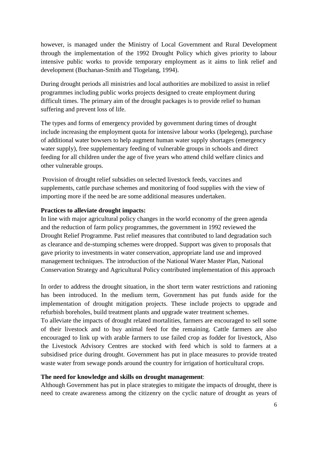however, is managed under the Ministry of Local Government and Rural Development through the implementation of the 1992 Drought Policy which gives priority to labour intensive public works to provide temporary employment as it aims to link relief and development (Buchanan-Smith and Tlogelang, 1994).

During drought periods all ministries and local authorities are mobilized to assist in relief programmes including public works projects designed to create employment during difficult times. The primary aim of the drought packages is to provide relief to human suffering and prevent loss of life.

The types and forms of emergency provided by government during times of drought include increasing the employment quota for intensive labour works (Ipelegeng), purchase of additional water bowsers to help augment human water supply shortages (emergency water supply), free supplementary feeding of vulnerable groups in schools and direct feeding for all children under the age of five years who attend child welfare clinics and other vulnerable groups.

Provision of drought relief subsidies on selected livestock feeds, vaccines and supplements, cattle purchase schemes and monitoring of food supplies with the view of importing more if the need be are some additional measures undertaken.

#### **Practices to alleviate drought impacts:**

In line with major agricultural policy changes in the world economy of the green agenda and the reduction of farm policy programmes, the government in 1992 reviewed the Drought Relief Programme. Past relief measures that contributed to land degradation such as clearance and de-stumping schemes were dropped. Support was given to proposals that gave priority to investments in water conservation, appropriate land use and improved management techniques. The introduction of the National Water Master Plan, National Conservation Strategy and Agricultural Policy contributed implementation of this approach

In order to address the drought situation, in the short term water restrictions and rationing has been introduced. In the medium term, Government has put funds aside for the implementation of drought mitigation projects. These include projects to upgrade and refurbish boreholes, build treatment plants and upgrade water treatment schemes.

To alleviate the impacts of drought related mortalities, farmers are encouraged to sell some of their livestock and to buy animal feed for the remaining. Cattle farmers are also encouraged to link up with arable farmers to use failed crop as fodder for livestock, Also the Livestock Advisory Centres are stocked with feed which is sold to farmers at a subsidised price during drought. Government has put in place measures to provide treated waste water from sewage ponds around the country for irrigation of horticultural crops.

#### **The need for knowledge and skills on drought management**:

Although Government has put in place strategies to mitigate the impacts of drought, there is need to create awareness among the citizenry on the cyclic nature of drought as years of